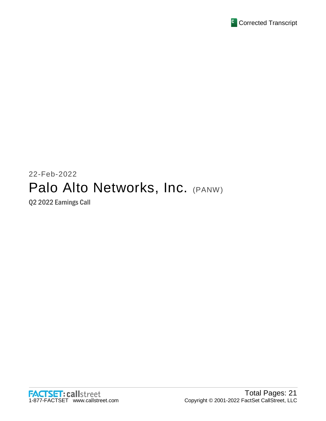

# 22-Feb-2022 Palo Alto Networks, Inc. (PANW)

Q2 2022 Earnings Call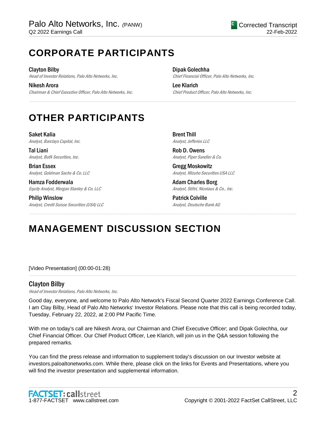## **CORPORATE PARTICIPANTS**

Clayton Bilby Head of Investor Relations, Palo Alto Networks, Inc.

Nikesh Arora Chairman & Chief Executive Officer, Palo Alto Networks, Inc. Dipak Golechha Chief Financial Officer, Palo Alto Networks, Inc.

Lee Klarich Chief Product Officer, Palo Alto Networks, Inc.

## **OTHER PARTICIPANTS**

Saket Kalia Analyst, Barclays Capital, Inc.

Tal Liani Analyst, BofA Securities, Inc.

Brian Essex Analyst, Goldman Sachs & Co. LLC

Hamza Fodderwala Equity Analyst, Morgan Stanley & Co. LLC

Philip Winslow Analyst, Credit Suisse Securities (USA) LLC Brent Thill Analyst, Jefferies LLC

.....................................................................................................................................................................................................................................................................

Rob D. Owens Analyst, Piper Sandler & Co.

Gregg Moskowitz Analyst, Mizuho Securities USA LLC

Adam Charles Borg Analyst, Stifel, Nicolaus & Co., Inc.

Patrick Colville Analyst, Deutsche Bank AG

## **MANAGEMENT DISCUSSION SECTION**

[Video Presentation] (00:00-01:28)

## Clayton Bilby

Head of Investor Relations, Palo Alto Networks, Inc.

Good day, everyone, and welcome to Palo Alto Network's Fiscal Second Quarter 2022 Earnings Conference Call. I am Clay Bilby, Head of Palo Alto Networks' Investor Relations. Please note that this call is being recorded today, Tuesday, February 22, 2022, at 2:00 PM Pacific Time.

.....................................................................................................................................................................................................................................................................

.....................................................................................................................................................................................................................................................................

With me on today's call are Nikesh Arora, our Chairman and Chief Executive Officer; and Dipak Golechha, our Chief Financial Officer. Our Chief Product Officer, Lee Klarich, will join us in the Q&A session following the prepared remarks.

You can find the press release and information to supplement today's discussion on our Investor website at investors.paloaltonetworks.com. While there, please click on the links for Events and Presentations, where you will find the investor presentation and supplemental information.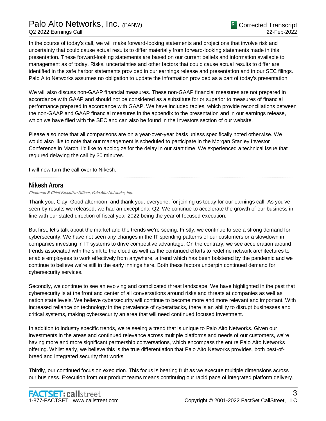## Palo Alto Networks, Inc. *(*PANW)

In the course of today's call, we will make forward-looking statements and projections that involve risk and uncertainty that could cause actual results to differ materially from forward-looking statements made in this presentation. These forward-looking statements are based on our current beliefs and information available to management as of today. Risks, uncertainties and other factors that could cause actual results to differ are identified in the safe harbor statements provided in our earnings release and presentation and in our SEC filings. Palo Alto Networks assumes no obligation to update the information provided as a part of today's presentation.

We will also discuss non-GAAP financial measures. These non-GAAP financial measures are not prepared in accordance with GAAP and should not be considered as a substitute for or superior to measures of financial performance prepared in accordance with GAAP. We have included tables, which provide reconciliations between the non-GAAP and GAAP financial measures in the appendix to the presentation and in our earnings release, which we have filed with the SEC and can also be found in the Investors section of our website.

Please also note that all comparisons are on a year-over-year basis unless specifically noted otherwise. We would also like to note that our management is scheduled to participate in the Morgan Stanley Investor Conference in March. I'd like to apologize for the delay in our start time. We experienced a technical issue that required delaying the call by 30 minutes.

I will now turn the call over to Nikesh.

### Nikesh Arora

Chairman & Chief Executive Officer, Palo Alto Networks, Inc.

Thank you, Clay. Good afternoon, and thank you, everyone, for joining us today for our earnings call. As you've seen by results we released, we had an exceptional Q2. We continue to accelerate the growth of our business in line with our stated direction of fiscal year 2022 being the year of focused execution.

.....................................................................................................................................................................................................................................................................

But first, let's talk about the market and the trends we're seeing. Firstly, we continue to see a strong demand for cybersecurity. We have not seen any changes in the IT spending patterns of our customers or a slowdown in companies investing in IT systems to drive competitive advantage. On the contrary, we see acceleration around trends associated with the shift to the cloud as well as the continued efforts to redefine network architectures to enable employees to work effectively from anywhere, a trend which has been bolstered by the pandemic and we continue to believe we're still in the early innings here. Both these factors underpin continued demand for cybersecurity services.

Secondly, we continue to see an evolving and complicated threat landscape. We have highlighted in the past that cybersecurity is at the front and center of all conversations around risks and threats at companies as well as nation state levels. We believe cybersecurity will continue to become more and more relevant and important. With increased reliance on technology in the prevalence of cyberattacks, there is an ability to disrupt businesses and critical systems, making cybersecurity an area that will need continued focused investment.

In addition to industry specific trends, we're seeing a trend that is unique to Palo Alto Networks. Given our investments in the areas and continued relevance across multiple platforms and needs of our customers, we're having more and more significant partnership conversations, which encompass the entire Palo Alto Networks offering. Whilst early, we believe this is the true differentiation that Palo Alto Networks provides, both best-ofbreed and integrated security that works.

Thirdly, our continued focus on execution. This focus is bearing fruit as we execute multiple dimensions across our business. Execution from our product teams means continuing our rapid pace of integrated platform delivery.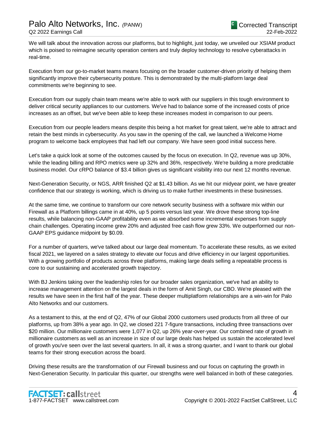We will talk about the innovation across our platforms, but to highlight, just today, we unveiled our XSIAM product which is poised to reimagine security operation centers and truly deploy technology to resolve cyberattacks in real-time.

Execution from our go-to-market teams means focusing on the broader customer-driven priority of helping them significantly improve their cybersecurity posture. This is demonstrated by the multi-platform large deal commitments we're beginning to see.

Execution from our supply chain team means we're able to work with our suppliers in this tough environment to deliver critical security appliances to our customers. We've had to balance some of the increased costs of price increases as an offset, but we've been able to keep these increases modest in comparison to our peers.

Execution from our people leaders means despite this being a hot market for great talent, we're able to attract and retain the best minds in cybersecurity. As you saw in the opening of the call, we launched a Welcome Home program to welcome back employees that had left our company. We have seen good initial success here.

Let's take a quick look at some of the outcomes caused by the focus on execution. In Q2, revenue was up 30%, while the leading billing and RPO metrics were up 32% and 36%, respectively. We're building a more predictable business model. Our cRPO balance of \$3.4 billion gives us significant visibility into our next 12 months revenue.

Next-Generation Security, or NGS, ARR finished Q2 at \$1.43 billion. As we hit our midyear point, we have greater confidence that our strategy is working, which is driving us to make further investments in these businesses.

At the same time, we continue to transform our core network security business with a software mix within our Firewall as a Platform billings came in at 40%, up 5 points versus last year. We drove these strong top-line results, while balancing non-GAAP profitability even as we absorbed some incremental expenses from supply chain challenges. Operating income grew 20% and adjusted free cash flow grew 33%. We outperformed our non-GAAP EPS guidance midpoint by \$0.09.

For a number of quarters, we've talked about our large deal momentum. To accelerate these results, as we exited fiscal 2021, we layered on a sales strategy to elevate our focus and drive efficiency in our largest opportunities. With a growing portfolio of products across three platforms, making large deals selling a repeatable process is core to our sustaining and accelerated growth trajectory.

With BJ Jenkins taking over the leadership roles for our broader sales organization, we've had an ability to increase management attention on the largest deals in the form of Amit Singh, our CBO. We're pleased with the results we have seen in the first half of the year. These deeper multiplatform relationships are a win-win for Palo Alto Networks and our customers.

As a testament to this, at the end of Q2, 47% of our Global 2000 customers used products from all three of our platforms, up from 38% a year ago. In Q2, we closed 221 7-figure transactions, including three transactions over \$20 million. Our millionaire customers were 1,077 in Q2, up 26% year-over-year. Our combined rate of growth in millionaire customers as well as an increase in size of our large deals has helped us sustain the accelerated level of growth you've seen over the last several quarters. In all, it was a strong quarter, and I want to thank our global teams for their strong execution across the board.

Driving these results are the transformation of our Firewall business and our focus on capturing the growth in Next-Generation Security. In particular this quarter, our strengths were well balanced in both of these categories.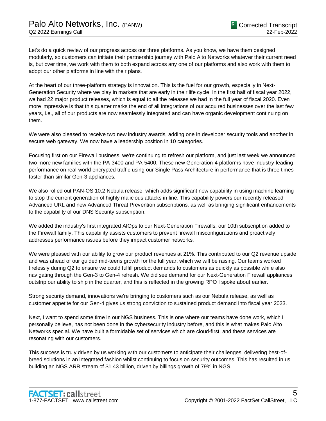Let's do a quick review of our progress across our three platforms. As you know, we have them designed modularly, so customers can initiate their partnership journey with Palo Alto Networks whatever their current need is, but over time, we work with them to both expand across any one of our platforms and also work with them to adopt our other platforms in line with their plans.

At the heart of our three-platform strategy is innovation. This is the fuel for our growth, especially in Next-Generation Security where we play in markets that are early in their life cycle. In the first half of fiscal year 2022, we had 22 major product releases, which is equal to all the releases we had in the full year of fiscal 2020. Even more impressive is that this quarter marks the end of all integrations of our acquired businesses over the last few years, i.e., all of our products are now seamlessly integrated and can have organic development continuing on them.

We were also pleased to receive two new industry awards, adding one in developer security tools and another in secure web gateway. We now have a leadership position in 10 categories.

Focusing first on our Firewall business, we're continuing to refresh our platform, and just last week we announced two more new families with the PA-3400 and PA-5400. These new Generation-4 platforms have industry-leading performance on real-world encrypted traffic using our Single Pass Architecture in performance that is three times faster than similar Gen-3 appliances.

We also rolled out PAN-OS 10.2 Nebula release, which adds significant new capability in using machine learning to stop the current generation of highly malicious attacks in line. This capability powers our recently released Advanced URL and new Advanced Threat Prevention subscriptions, as well as bringing significant enhancements to the capability of our DNS Security subscription.

We added the industry's first integrated AIOps to our Next-Generation Firewalls, our 10th subscription added to the Firewall family. This capability assists customers to prevent firewall misconfigurations and proactively addresses performance issues before they impact customer networks.

We were pleased with our ability to grow our product revenues at 21%. This contributed to our Q2 revenue upside and was ahead of our guided mid-teens growth for the full year, which we will be raising. Our teams worked tirelessly during Q2 to ensure we could fulfill product demands to customers as quickly as possible while also navigating through the Gen-3 to Gen-4 refresh. We did see demand for our Next-Generation Firewall appliances outstrip our ability to ship in the quarter, and this is reflected in the growing RPO I spoke about earlier.

Strong security demand, innovations we're bringing to customers such as our Nebula release, as well as customer appetite for our Gen-4 gives us strong conviction to sustained product demand into fiscal year 2023.

Next, I want to spend some time in our NGS business. This is one where our teams have done work, which I personally believe, has not been done in the cybersecurity industry before, and this is what makes Palo Alto Networks special. We have built a formidable set of services which are cloud-first, and these services are resonating with our customers.

This success is truly driven by us working with our customers to anticipate their challenges, delivering best-ofbreed solutions in an integrated fashion whilst continuing to focus on security outcomes. This has resulted in us building an NGS ARR stream of \$1.43 billion, driven by billings growth of 79% in NGS.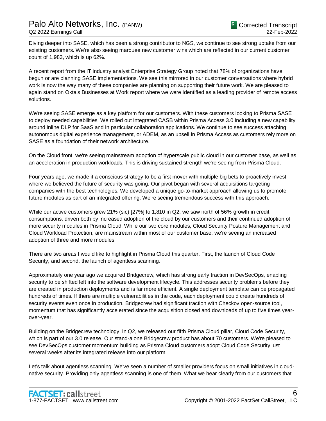## Palo Alto Networks, Inc. *(*PANW) Q2 2022 Earnings Call

Diving deeper into SASE, which has been a strong contributor to NGS, we continue to see strong uptake from our existing customers. We're also seeing marquee new customer wins which are reflected in our current customer count of 1,983, which is up 62%.

A recent report from the IT industry analyst Enterprise Strategy Group noted that 78% of organizations have begun or are planning SASE implementations. We see this mirrored in our customer conversations where hybrid work is now the way many of these companies are planning on supporting their future work. We are pleased to again stand on Okta's Businesses at Work report where we were identified as a leading provider of remote access solutions.

We're seeing SASE emerge as a key platform for our customers. With these customers looking to Prisma SASE to deploy needed capabilities. We rolled out integrated CASB within Prisma Access 3.0 including a new capability around inline DLP for SaaS and in particular collaboration applications. We continue to see success attaching autonomous digital experience management, or ADEM, as an upsell in Prisma Access as customers rely more on SASE as a foundation of their network architecture.

On the Cloud front, we're seeing mainstream adoption of hyperscale public cloud in our customer base, as well as an acceleration in production workloads. This is driving sustained strength we're seeing from Prisma Cloud.

Four years ago, we made it a conscious strategy to be a first mover with multiple big bets to proactively invest where we believed the future of security was going. Our pivot began with several acquisitions targeting companies with the best technologies. We developed a unique go-to-market approach allowing us to promote future modules as part of an integrated offering. We're seeing tremendous success with this approach.

While our active customers grew 21% (sic) [27%] to 1,810 in Q2, we saw north of 56% growth in credit consumptions, driven both by increased adoption of the cloud by our customers and their continued adoption of more security modules in Prisma Cloud. While our two core modules, Cloud Security Posture Management and Cloud Workload Protection, are mainstream within most of our customer base, we're seeing an increased adoption of three and more modules.

There are two areas I would like to highlight in Prisma Cloud this quarter. First, the launch of Cloud Code Security, and second, the launch of agentless scanning.

Approximately one year ago we acquired Bridgecrew, which has strong early traction in DevSecOps, enabling security to be shifted left into the software development lifecycle. This addresses security problems before they are created in production deployments and is far more efficient. A single deployment template can be propagated hundreds of times. If there are multiple vulnerabilities in the code, each deployment could create hundreds of security events even once in production. Bridgecrew had significant traction with Checkov open-source tool, momentum that has significantly accelerated since the acquisition closed and downloads of up to five times yearover-year.

Building on the Bridgecrew technology, in Q2, we released our fifth Prisma Cloud pillar, Cloud Code Security, which is part of our 3.0 release. Our stand-alone Bridgecrew product has about 70 customers. We're pleased to see DevSecOps customer momentum building as Prisma Cloud customers adopt Cloud Code Security just several weeks after its integrated release into our platform.

Let's talk about agentless scanning. We've seen a number of smaller providers focus on small initiatives in cloudnative security. Providing only agentless scanning is one of them. What we hear clearly from our customers that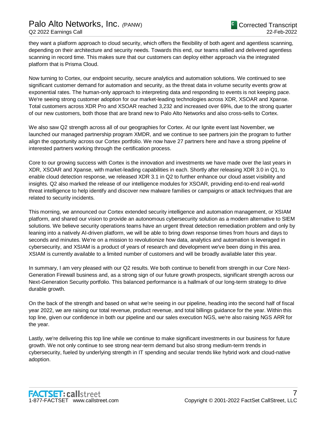they want a platform approach to cloud security, which offers the flexibility of both agent and agentless scanning, depending on their architecture and security needs. Towards this end, our teams rallied and delivered agentless scanning in record time. This makes sure that our customers can deploy either approach via the integrated platform that is Prisma Cloud.

Now turning to Cortex, our endpoint security, secure analytics and automation solutions. We continued to see significant customer demand for automation and security, as the threat data in volume security events grow at exponential rates. The human-only approach to interpreting data and responding to events is not keeping pace. We're seeing strong customer adoption for our market-leading technologies across XDR, XSOAR and Xpanse. Total customers across XDR Pro and XSOAR reached 3,232 and increased over 69%, due to the strong quarter of our new customers, both those that are brand new to Palo Alto Networks and also cross-sells to Cortex.

We also saw Q2 strength across all of our geographies for Cortex. At our Ignite event last November, we launched our managed partnership program XMDR, and we continue to see partners join the program to further align the opportunity across our Cortex portfolio. We now have 27 partners here and have a strong pipeline of interested partners working through the certification process.

Core to our growing success with Cortex is the innovation and investments we have made over the last years in XDR, XSOAR and Xpanse, with market-leading capabilities in each. Shortly after releasing XDR 3.0 in Q1, to enable cloud detection response, we released XDR 3.1 in Q2 to further enhance our cloud asset visibility and insights. Q2 also marked the release of our intelligence modules for XSOAR, providing end-to-end real-world threat intelligence to help identify and discover new malware families or campaigns or attack techniques that are related to security incidents.

This morning, we announced our Cortex extended security intelligence and automation management, or XSIAM platform, and shared our vision to provide an autonomous cybersecurity solution as a modern alternative to SIEM solutions. We believe security operations teams have an urgent threat detection remediation problem and only by leaning into a natively AI-driven platform, we will be able to bring down response times from hours and days to seconds and minutes. We're on a mission to revolutionize how data, analytics and automation is leveraged in cybersecurity, and XSIAM is a product of years of research and development we've been doing in this area. XSIAM is currently available to a limited number of customers and will be broadly available later this year.

In summary, I am very pleased with our Q2 results. We both continue to benefit from strength in our Core Next-Generation Firewall business and, as a strong sign of our future growth prospects, significant strength across our Next-Generation Security portfolio. This balanced performance is a hallmark of our long-term strategy to drive durable growth.

On the back of the strength and based on what we're seeing in our pipeline, heading into the second half of fiscal year 2022, we are raising our total revenue, product revenue, and total billings guidance for the year. Within this top line, given our confidence in both our pipeline and our sales execution NGS, we're also raising NGS ARR for the year.

Lastly, we're delivering this top line while we continue to make significant investments in our business for future growth. We not only continue to see strong near-term demand but also strong medium-term trends in cybersecurity, fueled by underlying strength in IT spending and secular trends like hybrid work and cloud-native adoption.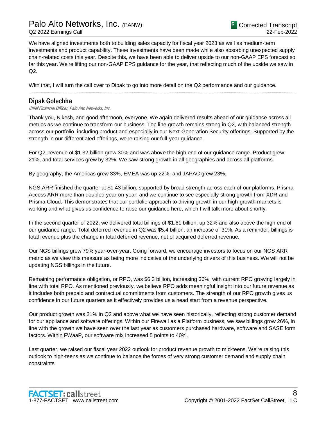We have aligned investments both to building sales capacity for fiscal year 2023 as well as medium-term investments and product capability. These investments have been made while also absorbing unexpected supply chain-related costs this year. Despite this, we have been able to deliver upside to our non-GAAP EPS forecast so far this year. We're lifting our non-GAAP EPS guidance for the year, that reflecting much of the upside we saw in Q2.

.....................................................................................................................................................................................................................................................................

With that, I will turn the call over to Dipak to go into more detail on the Q2 performance and our guidance.

## Dipak Golechha

Chief Financial Officer, Palo Alto Networks, Inc.

Thank you, Nikesh, and good afternoon, everyone. We again delivered results ahead of our guidance across all metrics as we continue to transform our business. Top line growth remains strong in Q2, with balanced strength across our portfolio, including product and especially in our Next-Generation Security offerings. Supported by the strength in our differentiated offerings, we're raising our full-year guidance.

For Q2, revenue of \$1.32 billion grew 30% and was above the high end of our guidance range. Product grew 21%, and total services grew by 32%. We saw strong growth in all geographies and across all platforms.

By geography, the Americas grew 33%, EMEA was up 22%, and JAPAC grew 23%.

NGS ARR finished the quarter at \$1.43 billion, supported by broad strength across each of our platforms. Prisma Access ARR more than doubled year-on-year, and we continue to see especially strong growth from XDR and Prisma Cloud. This demonstrates that our portfolio approach to driving growth in our high-growth markets is working and what gives us confidence to raise our guidance here, which I will talk more about shortly.

In the second quarter of 2022, we delivered total billings of \$1.61 billion, up 32% and also above the high end of our guidance range. Total deferred revenue in Q2 was \$5.4 billion, an increase of 31%. As a reminder, billings is total revenue plus the change in total deferred revenue, net of acquired deferred revenue.

Our NGS billings grew 79% year-over-year. Going forward, we encourage investors to focus on our NGS ARR metric as we view this measure as being more indicative of the underlying drivers of this business. We will not be updating NGS billings in the future.

Remaining performance obligation, or RPO, was \$6.3 billion, increasing 36%, with current RPO growing largely in line with total RPO. As mentioned previously, we believe RPO adds meaningful insight into our future revenue as it includes both prepaid and contractual commitments from customers. The strength of our RPO growth gives us confidence in our future quarters as it effectively provides us a head start from a revenue perspective.

Our product growth was 21% in Q2 and above what we have seen historically, reflecting strong customer demand for our appliance and software offerings. Within our Firewall as a Platform business, we saw billings grow 26%, in line with the growth we have seen over the last year as customers purchased hardware, software and SASE form factors. Within FWaaP, our software mix increased 5 points to 40%.

Last quarter, we raised our fiscal year 2022 outlook for product revenue growth to mid-teens. We're raising this outlook to high-teens as we continue to balance the forces of very strong customer demand and supply chain constraints.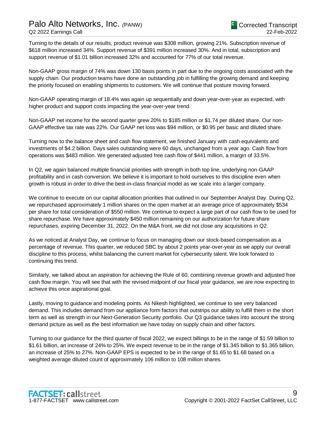### Palo Alto Networks, Inc. *(*PANW) Q2 2022 Earnings Call

Turning to the details of our results, product revenue was \$308 million, growing 21%. Subscription revenue of \$618 million increased 34%. Support revenue of \$391 million increased 30%. And in total, subscription and support revenue of \$1.01 billion increased 32% and accounted for 77% of our total revenue.

Non-GAAP gross margin of 74% was down 130 basis points in part due to the ongoing costs associated with the supply chain. Our production teams have done an outstanding job in fulfilling the growing demand and keeping the priority focused on enabling shipments to customers. We will continue that posture moving forward.

Non-GAAP operating margin of 18.4% was again up sequentially and down year-over-year as expected, with higher product and support costs impacting the year-over-year trend.

Non-GAAP net income for the second quarter grew 20% to \$185 million or \$1.74 per diluted share. Our non-GAAP effective tax rate was 22%. Our GAAP net loss was \$94 million, or \$0.95 per basic and diluted share.

Turning now to the balance sheet and cash flow statement, we finished January with cash equivalents and investments of \$4.2 billion. Days sales outstanding were 60 days, unchanged from a year ago. Cash flow from operations was \$483 million. We generated adjusted free cash flow of \$441 million, a margin of 33.5%.

In Q2, we again balanced multiple financial priorities with strength in both top line, underlying non-GAAP profitability and in cash conversion. We believe it is important to hold ourselves to this discipline even when growth is robust in order to drive the best-in-class financial model as we scale into a larger company.

We continue to execute on our capital allocation priorities that outlined in our September Analyst Day. During Q2, we repurchased approximately 1 million shares on the open market at an average price of approximately \$534 per share for total consideration of \$550 million. We continue to expect a large part of our cash flow to be used for share repurchase. We have approximately \$450 million remaining on our authorization for future share repurchases, expiring December 31, 2022. On the M&A front, we did not close any acquisitions in Q2.

As we noticed at Analyst Day, we continue to focus on managing down our stock-based compensation as a percentage of revenue. This quarter, we reduced SBC by about 2 points year-over-year as we apply our overall discipline to this process, whilst balancing the current market for cybersecurity talent. We look forward to continuing this trend.

Similarly, we talked about an aspiration for achieving the Rule of 60, combining revenue growth and adjusted free cash flow margin. You will see that with the revised midpoint of our fiscal year guidance, we are now expecting to achieve this once aspirational goal.

Lastly, moving to guidance and modeling points. As Nikesh highlighted, we continue to see very balanced demand. This includes demand from our appliance form factors that outstrips our ability to fulfill them in the short term as well as strength in our Next-Generation Security portfolio. Our Q3 guidance takes into account the strong demand picture as well as the best information we have today on supply chain and other factors.

Turning to our guidance for the third quarter of fiscal 2022, we expect billings to be in the range of \$1.59 billion to \$1.61 billion, an increase of 24% to 25%. We expect revenue to be in the range of \$1.345 billion to \$1.365 billion, an increase of 25% to 27%. Non-GAAP EPS is expected to be in the range of \$1.65 to \$1.68 based on a weighted average diluted count of approximately 106 million to 108 million shares.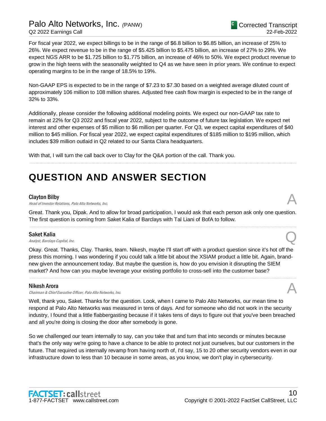## Palo Alto Networks, Inc. *(*PANW) Q2 2022 Earnings Call

For fiscal year 2022, we expect billings to be in the range of \$6.8 billion to \$6.85 billion, an increase of 25% to 26%. We expect revenue to be in the range of \$5.425 billion to \$5.475 billion, an increase of 27% to 29%. We expect NGS ARR to be \$1.725 billion to \$1.775 billion, an increase of 46% to 50%. We expect product revenue to grow in the high teens with the seasonality weighted to Q4 as we have seen in prior years. We continue to expect operating margins to be in the range of 18.5% to 19%.

Non-GAAP EPS is expected to be in the range of \$7.23 to \$7.30 based on a weighted average diluted count of approximately 106 million to 108 million shares. Adjusted free cash flow margin is expected to be in the range of 32% to 33%.

Additionally, please consider the following additional modeling points. We expect our non-GAAP tax rate to remain at 22% for Q3 2022 and fiscal year 2022, subject to the outcome of future tax legislation. We expect net interest and other expenses of \$5 million to \$6 million per quarter. For Q3, we expect capital expenditures of \$40 million to \$45 million. For fiscal year 2022, we expect capital expenditures of \$185 million to \$195 million, which includes \$39 million outlaid in Q2 related to our Santa Clara headquarters.

.....................................................................................................................................................................................................................................................................

With that, I will turn the call back over to Clay for the Q&A portion of the call. Thank you.

## **QUESTION AND ANSWER SECTION**

### Clayton Bilby

Clayton Bilby<br>
Head of Investor Relations, Palo Alto Networks, Inc. And the comparation of the comparation of Investor Relations, Palo Alto Networks, Inc.

Great. Thank you, Dipak. And to allow for broad participation, I would ask that each person ask only one question. The first question is coming from Saket Kalia of Barclays with Tal Liani of BofA to follow. .....................................................................................................................................................................................................................................................................

### Saket Kalia

Saket Kalia  $A_{nab}$ st, Barclays Capital, Inc.  $Q$ 

Okay. Great. Thanks, Clay. Thanks, team. Nikesh, maybe I'll start off with a product question since it's hot off the press this morning. I was wondering if you could talk a little bit about the XSIAM product a little bit. Again, brandnew given the announcement today. But maybe the question is, how do you envision it disrupting the SIEM market? And how can you maybe leverage your existing portfolio to cross-sell into the customer base?

.....................................................................................................................................................................................................................................................................

#### Nikesh Arora

Chairman & Chief Executive Officer, Palo Alto Networks, Inc.

Well, thank you, Saket. Thanks for the question. Look, when I came to Palo Alto Networks, our mean time to respond at Palo Alto Networks was measured in tens of days. And for someone who did not work in the security industry, I found that a little flabbergasting because if it takes tens of days to figure out that you've been breached and all you're doing is closing the door after somebody is gone.

So we challenged our team internally to say, can you take that and turn that into seconds or minutes because that's the only way we're going to have a chance to be able to protect not just ourselves, but our customers in the future. That required us internally revamp from having north of, I'd say, 15 to 20 other security vendors even in our infrastructure down to less than 10 because in some areas, as you know, we don't play in cybersecurity.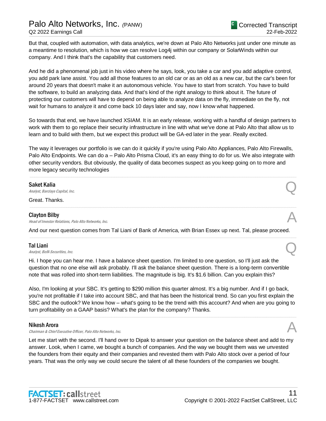But that, coupled with automation, with data analytics, we're down at Palo Alto Networks just under one minute as a meantime to resolution, which is how we can resolve Log4j within our company or SolarWinds within our company. And I think that's the capability that customers need.

And he did a phenomenal job just in his video where he says, look, you take a car and you add adaptive control, you add park lane assist. You add all those features to an old car or as an old as a new car, but the car's been for around 20 years that doesn't make it an autonomous vehicle. You have to start from scratch. You have to build the software, to build an analyzing data. And that's kind of the right analogy to think about it. The future of protecting our customers will have to depend on being able to analyze data on the fly, immediate on the fly, not wait for humans to analyze it and come back 10 days later and say, now I know what happened.

So towards that end, we have launched XSIAM. It is an early release, working with a handful of design partners to work with them to go replace their security infrastructure in line with what we've done at Palo Alto that allow us to learn and to build with them, but we expect this product will be GA-ed later in the year. Really excited.

The way it leverages our portfolio is we can do it quickly if you're using Palo Alto Appliances, Palo Alto Firewalls, Palo Alto Endpoints. We can do a – Palo Alto Prisma Cloud, it's an easy thing to do for us. We also integrate with other security vendors. But obviously, the quality of data becomes suspect as you keep going on to more and more legacy security technologies

.....................................................................................................................................................................................................................................................................

.....................................................................................................................................................................................................................................................................

#### Saket Kalia

Saket Kalia  $A_{nab}$ st, Barclays Capital, Inc.  $Q$ 

Great. Thanks.

#### Clayton Bilby

**Clayton Bilby**<br>Head of Investor Relations, Palo Alto Networks, Inc.  $\mathcal{A}$ 

And our next question comes from Tal Liani of Bank of America, with Brian Essex up next. Tal, please proceed. .....................................................................................................................................................................................................................................................................

#### Tal Liani

**Tal Liani**<br>Analyst, BofA Securities, Inc.  $Q$ 

Hi. I hope you can hear me. I have a balance sheet question. I'm limited to one question, so I'll just ask the question that no one else will ask probably. I'll ask the balance sheet question. There is a long-term convertible note that was rolled into short-term liabilities. The magnitude is big. It's \$1.6 billion. Can you explain this?

Also, I'm looking at your SBC. It's getting to \$290 million this quarter almost. It's a big number. And if I go back, you're not profitable if I take into account SBC, and that has been the historical trend. So can you first explain the SBC and the outlook? We know how – what's going to be the trend with this account? And when are you going to turn profitability on a GAAP basis? What's the plan for the company? Thanks.

.....................................................................................................................................................................................................................................................................

#### Nikesh Arora

Chairman & Chief Executive Officer, Palo Alto Networks, Inc.

Let me start with the second. I'll hand over to Dipak to answer your question on the balance sheet and add to my answer. Look, when I came, we bought a bunch of companies. And the way we bought them was we unvested the founders from their equity and their companies and revested them with Palo Alto stock over a period of four years. That was the only way we could secure the talent of all these founders of the companies we bought.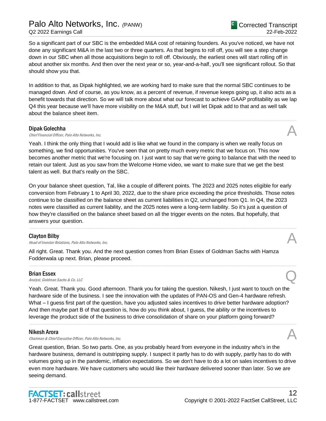So a significant part of our SBC is the embedded M&A cost of retaining founders. As you've noticed, we have not done any significant M&A in the last two or three quarters. As that begins to roll off, you will see a step change down in our SBC when all those acquisitions begin to roll off. Obviously, the earliest ones will start rolling off in about another six months. And then over the next year or so, year-and-a-half, you'll see significant rollout. So that should show you that.

In addition to that, as Dipak highlighted, we are working hard to make sure that the normal SBC continues to be managed down. And of course, as you know, as a percent of revenue, if revenue keeps going up, it also acts as a benefit towards that direction. So we will talk more about what our forecast to achieve GAAP profitability as we lap Q4 this year because we'll have more visibility on the M&A stuff, but I will let Dipak add to that and as well talk about the balance sheet item.

.....................................................................................................................................................................................................................................................................

#### Dipak Golechha

**Dipak Golechha**<br>Chief Financial Officer, Palo Alto Networks, Inc.  $\mathcal{A}$ 

Yeah. I think the only thing that I would add is like what we found in the company is when we really focus on something, we find opportunities. You've seen that on pretty much every metric that we focus on. This now becomes another metric that we're focusing on. I just want to say that we're going to balance that with the need to retain our talent. Just as you saw from the Welcome Home video, we want to make sure that we get the best talent as well. But that's really on the SBC.

On your balance sheet question, Tal, like a couple of different points. The 2023 and 2025 notes eligible for early conversion from February 1 to April 30, 2022, due to the share price exceeding the price thresholds. Those notes continue to be classified on the balance sheet as current liabilities in Q2, unchanged from Q1. In Q4, the 2023 notes were classified as current liability, and the 2025 notes were a long-term liability. So it's just a question of how they're classified on the balance sheet based on all the trigger events on the notes. But hopefully, that answers your question.

.....................................................................................................................................................................................................................................................................

.....................................................................................................................................................................................................................................................................

#### Clayton Bilby

**Clayton Bilby**<br>Head of Investor Relations, Palo Alto Networks, Inc.  $\mathcal{A}$ 

All right. Great. Thank you. And the next question comes from Brian Essex of Goldman Sachs with Hamza Fodderwala up next. Brian, please proceed.

#### Brian Essex

**Brian Essex**<br>Analyst, Goldman Sachs & Co. LLC  $\bigotimes$ 

Yeah. Great. Thank you. Good afternoon. Thank you for taking the question. Nikesh, I just want to touch on the hardware side of the business. I see the innovation with the updates of PAN-OS and Gen-4 hardware refresh. What – I guess first part of the question, have you adjusted sales incentives to drive better hardware adoption? And then maybe part B of that question is, how do you think about, I guess, the ability or the incentives to leverage the product side of the business to drive consolidation of share on your platform going forward?

.....................................................................................................................................................................................................................................................................

#### Nikesh Arora

Chairman & Chief Executive Officer, Palo Alto Networks, Inc.

Great question, Brian. So two parts. One, as you probably heard from everyone in the industry who's in the hardware business, demand is outstripping supply. I suspect it partly has to do with supply, partly has to do with volumes going up in the pandemic, inflation expectations. So we don't have to do a lot on sales incentives to drive even more hardware. We have customers who would like their hardware delivered sooner than later. So we are seeing demand.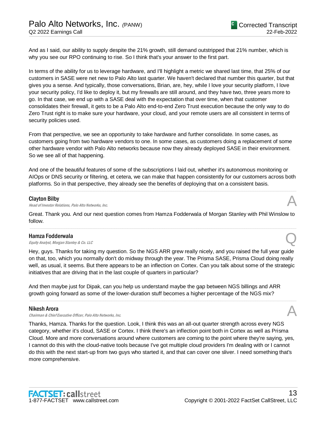And as I said, our ability to supply despite the 21% growth, still demand outstripped that 21% number, which is why you see our RPO continuing to rise. So I think that's your answer to the first part.

In terms of the ability for us to leverage hardware, and I'll highlight a metric we shared last time, that 25% of our customers in SASE were net new to Palo Alto last quarter. We haven't declared that number this quarter, but that gives you a sense. And typically, those conversations, Brian, are, hey, while I love your security platform, I love your security policy, I'd like to deploy it, but my firewalls are still around, and they have two, three years more to go. In that case, we end up with a SASE deal with the expectation that over time, when that customer consolidates their firewall, it gets to be a Palo Alto end-to-end Zero Trust execution because the only way to do Zero Trust right is to make sure your hardware, your cloud, and your remote users are all consistent in terms of security policies used.

From that perspective, we see an opportunity to take hardware and further consolidate. In some cases, as customers going from two hardware vendors to one. In some cases, as customers doing a replacement of some other hardware vendor with Palo Alto networks because now they already deployed SASE in their environment. So we see all of that happening.

And one of the beautiful features of some of the subscriptions I laid out, whether it's autonomous monitoring or AIOps or DNS security or filtering, et cetera, we can make that happen consistently for our customers across both platforms. So in that perspective, they already see the benefits of deploying that on a consistent basis.

.....................................................................................................................................................................................................................................................................

#### Clayton Bilby

**Clayton Bilby**<br>Head of Investor Relations, Palo Alto Networks, Inc.  $\mathcal{A}$ 

Great. Thank you. And our next question comes from Hamza Fodderwala of Morgan Stanley with Phil Winslow to follow. .....................................................................................................................................................................................................................................................................

#### Hamza Fodderwala

**Hamza Fodderwala**<br>Equity Analyst, Morgan Stanley & Co. LLC  $\mathcal{L}$ 

Hey, guys. Thanks for taking my question. So the NGS ARR grew really nicely, and you raised the full year guide on that, too, which you normally don't do midway through the year. The Prisma SASE, Prisma Cloud doing really well, as usual, it seems. But there appears to be an inflection on Cortex. Can you talk about some of the strategic initiatives that are driving that in the last couple of quarters in particular?

.....................................................................................................................................................................................................................................................................

And then maybe just for Dipak, can you help us understand maybe the gap between NGS billings and ARR growth going forward as some of the lower-duration stuff becomes a higher percentage of the NGS mix?

#### Nikesh Arora

Chairman & Chief Executive Officer, Palo Alto Networks, Inc.

Thanks, Hamza. Thanks for the question. Look, I think this was an all-out quarter strength across every NGS category, whether it's cloud, SASE or Cortex. I think there's an inflection point both in Cortex as well as Prisma Cloud. More and more conversations around where customers are coming to the point where they're saying, yes, I cannot do this with the cloud-native tools because I've got multiple cloud providers I'm dealing with or I cannot do this with the next start-up from two guys who started it, and that can cover one sliver. I need something that's more comprehensive.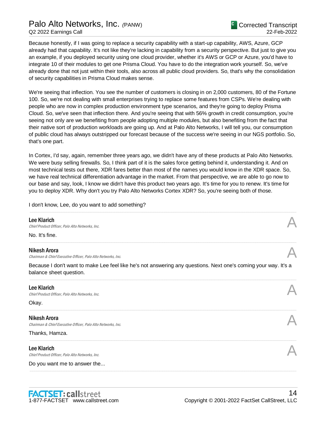## Palo Alto Networks, Inc. *(*PANW)

Q2 2022 Earnings Call

Because honestly, if I was going to replace a security capability with a start-up capability, AWS, Azure, GCP already had that capability. It's not like they're lacking in capability from a security perspective. But just to give you an example, if you deployed security using one cloud provider, whether it's AWS or GCP or Azure, you'd have to integrate 10 of their modules to get one Prisma Cloud. You have to do the integration work yourself. So, we've already done that not just within their tools, also across all public cloud providers. So, that's why the consolidation of security capabilities in Prisma Cloud makes sense.

We're seeing that inflection. You see the number of customers is closing in on 2,000 customers, 80 of the Fortune 100. So, we're not dealing with small enterprises trying to replace some features from CSPs. We're dealing with people who are now in complex production environment type scenarios, and they're going to deploy Prisma Cloud. So, we've seen that inflection there. And you're seeing that with 56% growth in credit consumption, you're seeing not only are we benefiting from people adopting multiple modules, but also benefiting from the fact that their native sort of production workloads are going up. And at Palo Alto Networks, I will tell you, our consumption of public cloud has always outstripped our forecast because of the success we're seeing in our NGS portfolio. So, that's one part.

In Cortex, I'd say, again, remember three years ago, we didn't have any of these products at Palo Alto Networks. We were busy selling firewalls. So, I think part of it is the sales force getting behind it, understanding it. And on most technical tests out there, XDR fares better than most of the names you would know in the XDR space. So, we have real technical differentiation advantage in the market. From that perspective, we are able to go now to our base and say, look, I know we didn't have this product two years ago. It's time for you to renew. It's time for you to deploy XDR. Why don't you try Palo Alto Networks Cortex XDR? So, you're seeing both of those.

I don't know, Lee, do you want to add something?

| Lee Klarich                                                                                                                                |  |
|--------------------------------------------------------------------------------------------------------------------------------------------|--|
| Chief Product Officer, Palo Alto Networks, Inc.                                                                                            |  |
| No. It's fine.                                                                                                                             |  |
| <b>Nikesh Arora</b><br>Chairman & Chief Executive Officer, Palo Alto Networks, Inc.                                                        |  |
| Because I don't want to make Lee feel like he's not answering any questions. Next one's coming your way. It's a<br>balance sheet question. |  |
| Lee Klarich<br>Chief Product Officer, Palo Alto Networks, Inc.                                                                             |  |
| Okay.                                                                                                                                      |  |
| <b>Nikesh Arora</b><br>Chairman & Chief Executive Officer, Palo Alto Networks, Inc.                                                        |  |
| Thanks, Hamza.                                                                                                                             |  |
| Lee Klarich<br>Chief Product Officer, Palo Alto Networks, Inc.                                                                             |  |
| Do you want me to answer the                                                                                                               |  |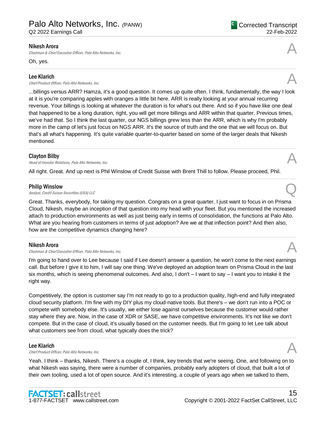# Palo Alto Networks, Inc. *(*PANW)

Q2 2022 Earnings Call

#### Nikesh Arora

Chairman & Chief Executive Officer, Palo Alto Networks, Inc.

Oh, yes.

#### Lee Klarich

**Lee Klarich**<br>Chief Product Officer, Palo Alto Networks, Inc.  $\mathcal{A}$ 

...billings versus ARR? Hamza, it's a good question. It comes up quite often. I think, fundamentally, the way I look at it is you're comparing apples with oranges a little bit here. ARR is really looking at your annual recurring revenue. Your billings is looking at whatever the duration is for what's out there. And so if you have like one deal that happened to be a long duration, right, you will get more billings and ARR within that quarter. Previous times, we've had that. So I think the last quarter, our NGS billings grew less than the ARR, which is why I'm probably more in the camp of let's just focus on NGS ARR. It's the source of truth and the one that we will focus on. But that's all what's happening. It's quite variable quarter-to-quarter based on some of the larger deals that Nikesh mentioned.

.....................................................................................................................................................................................................................................................................

.....................................................................................................................................................................................................................................................................

#### Clayton Bilby

**Clayton Bilby**<br>Head of Investor Relations, Palo Alto Networks, Inc.  $\mathcal{A}$ 

All right. Great. And up next is Phil Winslow of Credit Suisse with Brent Thill to follow. Please proceed, Phil.

#### Philip Winslow

**Philip Winslow**<br>Analyst, Credit Suisse Securities (USA) LLC

Great. Thanks, everybody, for taking my question. Congrats on a great quarter. I just want to focus in on Prisma Cloud, Nikesh, maybe an inception of that question into my head with your fleet. But you mentioned the increased attach to production environments as well as just being early in terms of consolidation, the functions at Palo Alto. What are you hearing from customers in terms of just adoption? Are we at that inflection point? And then also, how are the competitive dynamics changing here?

.....................................................................................................................................................................................................................................................................

#### Nikesh Arora

Chairman & Chief Executive Officer, Palo Alto Networks, Inc.

I'm going to hand over to Lee because I said if Lee doesn't answer a question, he won't come to the next earnings call. But before I give it to him, I will say one thing. We've deployed an adoption team on Prisma Cloud in the last six months, which is seeing phenomenal outcomes. And also, I don't – I want to say – I want you to intake it the right way.

Competitively, the option is customer say I'm not ready to go to a production quality, high-end and fully integrated cloud security platform. I'm fine with my DIY plus my cloud-native tools. But there's – we don't run into a POC or compete with somebody else. It's usually, we either lose against ourselves because the customer would rather stay where they are. Now, in the case of XDR or SASE, we have competitive environments. It's not like we don't compete. But in the case of cloud, it's usually based on the customer needs. But I'm going to let Lee talk about what customers see from cloud, what typically does the trick?

.....................................................................................................................................................................................................................................................................

#### Lee Klarich

**Lee Klarich**<br>Chief Product Officer, Palo Alto Networks, Inc.

Yeah. I think – thanks, Nikesh. There's a couple of, I think, key trends that we're seeing. One, and following on to what Nikesh was saying, there were a number of companies, probably early adopters of cloud, that built a lot of their own tooling, used a lot of open source. And it's interesting, a couple of years ago when we talked to them,







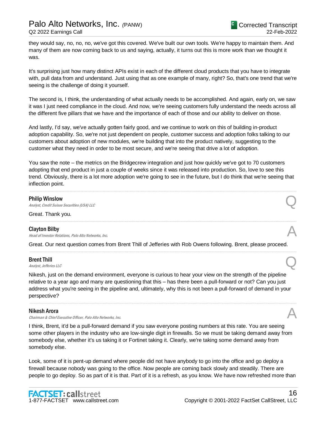they would say, no, no, no, we've got this covered. We've built our own tools. We're happy to maintain them. And many of them are now coming back to us and saying, actually, it turns out this is more work than we thought it was.

It's surprising just how many distinct APIs exist in each of the different cloud products that you have to integrate with, pull data from and understand. Just using that as one example of many, right? So, that's one trend that we're seeing is the challenge of doing it yourself.

The second is, I think, the understanding of what actually needs to be accomplished. And again, early on, we saw it was I just need compliance in the cloud. And now, we're seeing customers fully understand the needs across all the different five pillars that we have and the importance of each of those and our ability to deliver on those.

And lastly, I'd say, we've actually gotten fairly good, and we continue to work on this of building in-product adoption capability. So, we're not just dependent on people, customer success and adoption folks talking to our customers about adoption of new modules, we're building that into the product natively, suggesting to the customer what they need in order to be most secure, and we're seeing that drive a lot of adoption.

You saw the note – the metrics on the Bridgecrew integration and just how quickly we've got to 70 customers adopting that end product in just a couple of weeks since it was released into production. So, love to see this trend. Obviously, there is a lot more adoption we're going to see in the future, but I do think that we're seeing that inflection point.

.....................................................................................................................................................................................................................................................................

.....................................................................................................................................................................................................................................................................

#### Philip Winslow

**Philip Winslow**<br>Analyst, Credit Suisse Securities (USA) LLC

Great. Thank you.

#### Clayton Bilby

**Clayton Bilby**<br>Head of Investor Relations, Palo Alto Networks, Inc.  $\mathcal{A}$ 

Great. Our next question comes from Brent Thill of Jefferies with Rob Owens following. Brent, please proceed.

.....................................................................................................................................................................................................................................................................

#### Brent Thill

**Brent Thill**<br>Analyst, Jefferies LLC

Nikesh, just on the demand environment, everyone is curious to hear your view on the strength of the pipeline relative to a year ago and many are questioning that this – has there been a pull-forward or not? Can you just address what you're seeing in the pipeline and, ultimately, why this is not been a pull-forward of demand in your perspective?

.....................................................................................................................................................................................................................................................................

#### Nikesh Arora

**Nikesh Arora**<br>Chairman & Chief Executive Officer, Palo Alto Networks, Inc.  $\mathcal{A}$ 

I think, Brent, it'd be a pull-forward demand if you saw everyone posting numbers at this rate. You are seeing some other players in the industry who are low-single digit in firewalls. So we must be taking demand away from somebody else, whether it's us taking it or Fortinet taking it. Clearly, we're taking some demand away from somebody else.

Look, some of it is pent-up demand where people did not have anybody to go into the office and go deploy a firewall because nobody was going to the office. Now people are coming back slowly and steadily. There are people to go deploy. So as part of it is that. Part of it is a refresh, as you know. We have now refreshed more than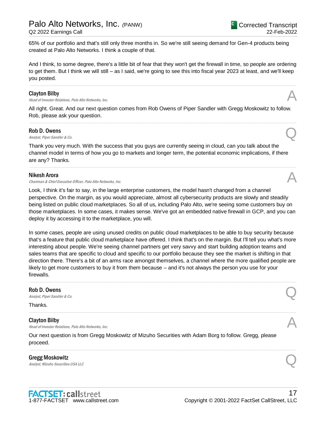65% of our portfolio and that's still only three months in. So we're still seeing demand for Gen-4 products being created at Palo Alto Networks. I think a couple of that.

And I think, to some degree, there's a little bit of fear that they won't get the firewall in time, so people are ordering to get them. But I think we will still – as I said, we're going to see this into fiscal year 2023 at least, and we'll keep you posted.

.....................................................................................................................................................................................................................................................................

#### Clayton Bilby

**Clayton Bilby**<br>Head of Investor Relations, Palo Alto Networks, Inc.  $\mathcal{A}$ 

All right. Great. And our next question comes from Rob Owens of Piper Sandler with Gregg Moskowitz to follow. Rob, please ask your question.

.....................................................................................................................................................................................................................................................................

#### Rob D. Owens

**Rob D. Owens**<br>Analyst, Piper Sandler & Co.

Thank you very much. With the success that you guys are currently seeing in cloud, can you talk about the channel model in terms of how you go to markets and longer term, the potential economic implications, if there are any? Thanks.

.....................................................................................................................................................................................................................................................................

#### Nikesh Arora

Chairman & Chief Executive Officer, Palo Alto Networks, Inc.



In some cases, people are using unused credits on public cloud marketplaces to be able to buy security because that's a feature that public cloud marketplace have offered. I think that's on the margin. But I'll tell you what's more interesting about people. We're seeing channel partners get very savvy and start building adoption teams and sales teams that are specific to cloud and specific to our portfolio because they see the market is shifting in that direction there. There's a bit of an arms race amongst themselves, a channel where the more qualified people are likely to get more customers to buy it from them because – and it's not always the person you use for your firewalls.

.....................................................................................................................................................................................................................................................................

.....................................................................................................................................................................................................................................................................

.....................................................................................................................................................................................................................................................................

#### Rob D. Owens

**Rob D. Owens**<br>Analyst, Piper Sandler & Co.

Thanks.

#### Clayton Bilby

**Clayton Bilby**<br>Head of Investor Relations, Palo Alto Networks, Inc.  $\mathcal{A}$ 

Our next question is from Gregg Moskowitz of Mizuho Securities with Adam Borg to follow. Gregg, please proceed.

#### Gregg Moskowitz

Gregg Moskowitz<br>Analyst, Mizuho Securities USA LLC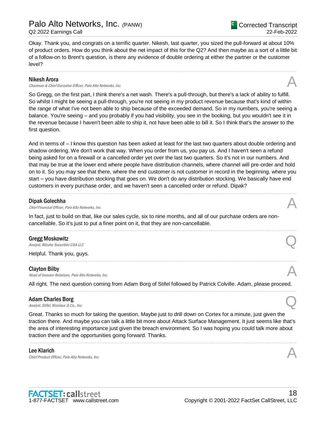Okay. Thank you, and congrats on a terrific quarter. Nikesh, last quarter, you sized the pull-forward at about 10% of product orders. How do you think about the net impact of this for the Q2? And then maybe as a sort of a little bit of a follow-on to Brent's question, is there any evidence of double ordering at either the partner or the customer level?

.....................................................................................................................................................................................................................................................................

#### Nikesh Arora

Chairman & Chief Executive Officer, Palo Alto Networks, Inc.

So Gregg, on the first part, I think there's a net wash. There's a pull-through, but there's a lack of ability to fulfill. So whilst I might be seeing a pull-through, you're not seeing in my product revenue because that's kind of within the range of what I've not been able to ship because of the exceeded demand. So in my numbers, you're seeing a balance. You're seeing – and you probably if you had visibility, you see in the booking, but you wouldn't see it in the revenue because I haven't been able to ship it, not have been able to bill it. So I think that's the answer to the first question.

And in terms of – I know this question has been asked at least for the last two quarters about double ordering and shadow ordering. We don't work that way. When you order from us, you pay us. And I haven't seen a refund being asked for on a firewall or a cancelled order yet over the last two quarters. So it's not in our numbers. And that may be true at the lower end where people have distribution channels, where channel will pre-order and hold on to it. So you may see that there, where the end customer is not customer in record in the beginning, where you start – you have distribution stocking that goes on. We don't do any distribution stocking. We basically have end customers in every purchase order, and we haven't seen a cancelled order or refund. Dipak?

.....................................................................................................................................................................................................................................................................

.....................................................................................................................................................................................................................................................................

.....................................................................................................................................................................................................................................................................

#### Dipak Golechha

**Dipak Golechha**<br>Chief Financial Officer, Palo Alto Networks, Inc.  $\mathcal{A}$ 

In fact, just to build on that, like our sales cycle, six to nine months, and all of our purchase orders are noncancellable. So it's just to put a finer point on it, that they are non-cancellable.

#### Gregg Moskowitz

Gregg Moskowitz<br>Analyst, Mizuho Securities USA LLC

Helpful. Thank you, guys.

#### Clayton Bilby

**Clayton Bilby**<br>Head of Investor Relations, Palo Alto Networks, Inc.  $\mathcal{A}$ 

All right. The next question coming from Adam Borg of Stifel followed by Patrick Colville. Adam, please proceed. .....................................................................................................................................................................................................................................................................

#### Adam Charles Borg

Adam Charles Borg<br>Analyst, Stifel, Nicolaus & Co., Inc. Quarter Co., Let Co., Let Co., Let Co., Let Co., Let Co., Let Co., Let C

Great. Thanks so much for taking the question. Maybe just to drill down on Cortex for a minute, just given the traction there. And maybe you can talk a little bit more about Attack Surface Management. It just seems like that's the area of interesting importance just given the breach environment. So I was hoping you could talk more about traction there and the opportunities going forward. Thanks.

.....................................................................................................................................................................................................................................................................

#### Lee Klarich

**Lee Klarich**<br>Chief Product Officer, Palo Alto Networks, Inc.  $\mathcal{A}$ 

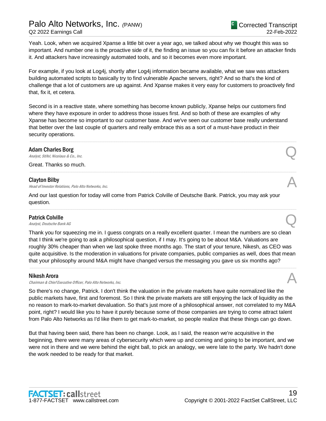Yeah. Look, when we acquired Xpanse a little bit over a year ago, we talked about why we thought this was so important. And number one is the proactive side of it, the finding an issue so you can fix it before an attacker finds it. And attackers have increasingly automated tools, and so it becomes even more important.

For example, if you look at Log4j, shortly after Log4j information became available, what we saw was attackers building automated scripts to basically try to find vulnerable Apache servers, right? And so that's the kind of challenge that a lot of customers are up against. And Xpanse makes it very easy for customers to proactively find that, fix it, et cetera.

Second is in a reactive state, where something has become known publicly, Xpanse helps our customers find where they have exposure in order to address those issues first. And so both of these are examples of why Xpanse has become so important to our customer base. And we've seen our customer base really understand that better over the last couple of quarters and really embrace this as a sort of a must-have product in their security operations.

.....................................................................................................................................................................................................................................................................

.....................................................................................................................................................................................................................................................................

.....................................................................................................................................................................................................................................................................

#### Adam Charles Borg

Adam Charles Borg<br>Analyst, Stifel, Nicolaus & Co., Inc. Quarter Co., Let Co., Let Co., Let Co., Let Co., Let Co., Let Co., Let C

Great. Thanks so much.

#### Clayton Bilby

**Clayton Bilby**<br>Head of Investor Relations, Palo Alto Networks, Inc.  $\mathcal{A}$ 

And our last question for today will come from Patrick Colville of Deutsche Bank. Patrick, you may ask your question.

### Patrick Colville **Patrick Colville**<br>Analyst, Deutsche Bank AG  $\overline{Q}$

Thank you for squeezing me in. I guess congrats on a really excellent quarter. I mean the numbers are so clean that I think we're going to ask a philosophical question, if I may. It's going to be about M&A. Valuations are roughly 30% cheaper than when we last spoke three months ago. The start of your tenure, Nikesh, as CEO was quite acquisitive. Is the moderation in valuations for private companies, public companies as well, does that mean that your philosophy around M&A might have changed versus the messaging you gave us six months ago?

.....................................................................................................................................................................................................................................................................

#### Nikesh Arora

Chairman & Chief Executive Officer, Palo Alto Networks, Inc. A

So there's no change, Patrick. I don't think the valuation in the private markets have quite normalized like the public markets have, first and foremost. So I think the private markets are still enjoying the lack of liquidity as the no reason to mark-to-market devaluation. So that's just more of a philosophical answer, not correlated to my M&A point, right? I would like you to have it purely because some of those companies are trying to come attract talent from Palo Alto Networks as I'd like them to get mark-to-market, so people realize that these things can go down.

But that having been said, there has been no change. Look, as I said, the reason we're acquisitive in the beginning, there were many areas of cybersecurity which were up and coming and going to be important, and we were not in there and we were behind the eight ball, to pick an analogy, we were late to the party. We hadn't done the work needed to be ready for that market.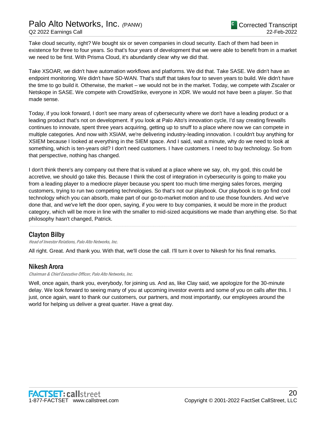Take cloud security, right? We bought six or seven companies in cloud security. Each of them had been in existence for three to four years. So that's four years of development that we were able to benefit from in a market we need to be first. With Prisma Cloud, it's abundantly clear why we did that.

Take XSOAR, we didn't have automation workflows and platforms. We did that. Take SASE. We didn't have an endpoint monitoring. We didn't have SD-WAN. That's stuff that takes four to seven years to build. We didn't have the time to go build it. Otherwise, the market – we would not be in the market. Today, we compete with Zscaler or Netskope in SASE. We compete with CrowdStrike, everyone in XDR. We would not have been a player. So that made sense.

Today, if you look forward, I don't see many areas of cybersecurity where we don't have a leading product or a leading product that's not on development. If you look at Palo Alto's innovation cycle, I'd say creating firewalls continues to innovate, spent three years acquiring, getting up to snuff to a place where now we can compete in multiple categories. And now with XSIAM, we're delivering industry-leading innovation. I couldn't buy anything for XSIEM because I looked at everything in the SIEM space. And I said, wait a minute, why do we need to look at something, which is ten-years old? I don't need customers. I have customers. I need to buy technology. So from that perspective, nothing has changed.

I don't think there's any company out there that is valued at a place where we say, oh, my god, this could be accretive, we should go take this. Because I think the cost of integration in cybersecurity is going to make you from a leading player to a mediocre player because you spent too much time merging sales forces, merging customers, trying to run two competing technologies. So that's not our playbook. Our playbook is to go find cool technology which you can absorb, make part of our go-to-market motion and to use those founders. And we've done that, and we've left the door open, saying, if you were to buy companies, it would be more in the product category, which will be more in line with the smaller to mid-sized acquisitions we made than anything else. So that philosophy hasn't changed, Patrick.

.....................................................................................................................................................................................................................................................................

.....................................................................................................................................................................................................................................................................

## Clayton Bilby

Head of Investor Relations, Palo Alto Networks, Inc.

All right. Great. And thank you. With that, we'll close the call. I'll turn it over to Nikesh for his final remarks.

### Nikesh Arora

Chairman & Chief Executive Officer, Palo Alto Networks, Inc.

Well, once again, thank you, everybody, for joining us. And as, like Clay said, we apologize for the 30-minute delay. We look forward to seeing many of you at upcoming investor events and some of you on calls after this. I just, once again, want to thank our customers, our partners, and most importantly, our employees around the world for helping us deliver a great quarter. Have a great day.